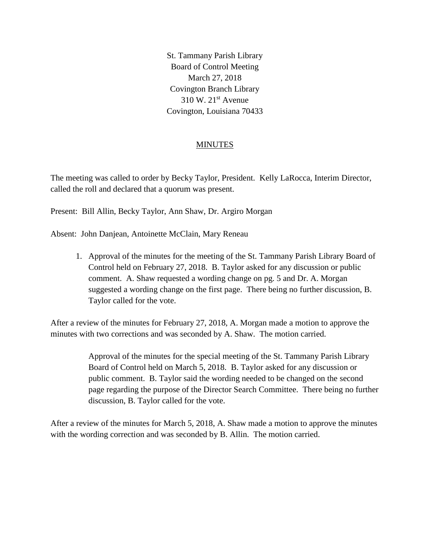St. Tammany Parish Library Board of Control Meeting March 27, 2018 Covington Branch Library  $310 \text{ W}$ .  $21^{\text{st}}$  Avenue Covington, Louisiana 70433

# **MINUTES**

The meeting was called to order by Becky Taylor, President. Kelly LaRocca, Interim Director, called the roll and declared that a quorum was present.

Present: Bill Allin, Becky Taylor, Ann Shaw, Dr. Argiro Morgan

Absent: John Danjean, Antoinette McClain, Mary Reneau

1. Approval of the minutes for the meeting of the St. Tammany Parish Library Board of Control held on February 27, 2018. B. Taylor asked for any discussion or public comment. A. Shaw requested a wording change on pg. 5 and Dr. A. Morgan suggested a wording change on the first page. There being no further discussion, B. Taylor called for the vote.

After a review of the minutes for February 27, 2018, A. Morgan made a motion to approve the minutes with two corrections and was seconded by A. Shaw. The motion carried.

> Approval of the minutes for the special meeting of the St. Tammany Parish Library Board of Control held on March 5, 2018. B. Taylor asked for any discussion or public comment. B. Taylor said the wording needed to be changed on the second page regarding the purpose of the Director Search Committee. There being no further discussion, B. Taylor called for the vote.

After a review of the minutes for March 5, 2018, A. Shaw made a motion to approve the minutes with the wording correction and was seconded by B. Allin. The motion carried.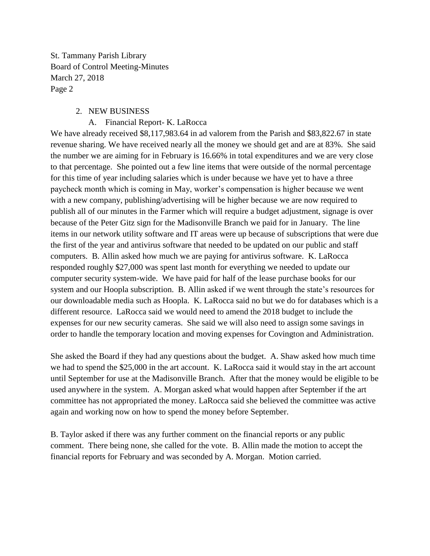### 2. NEW BUSINESS

#### A. Financial Report- K. LaRocca

We have already received \$8,117,983.64 in ad valorem from the Parish and \$83,822.67 in state revenue sharing. We have received nearly all the money we should get and are at 83%. She said the number we are aiming for in February is 16.66% in total expenditures and we are very close to that percentage. She pointed out a few line items that were outside of the normal percentage for this time of year including salaries which is under because we have yet to have a three paycheck month which is coming in May, worker's compensation is higher because we went with a new company, publishing/advertising will be higher because we are now required to publish all of our minutes in the Farmer which will require a budget adjustment, signage is over because of the Peter Gitz sign for the Madisonville Branch we paid for in January. The line items in our network utility software and IT areas were up because of subscriptions that were due the first of the year and antivirus software that needed to be updated on our public and staff computers. B. Allin asked how much we are paying for antivirus software. K. LaRocca responded roughly \$27,000 was spent last month for everything we needed to update our computer security system-wide. We have paid for half of the lease purchase books for our system and our Hoopla subscription. B. Allin asked if we went through the state's resources for our downloadable media such as Hoopla. K. LaRocca said no but we do for databases which is a different resource. LaRocca said we would need to amend the 2018 budget to include the expenses for our new security cameras. She said we will also need to assign some savings in order to handle the temporary location and moving expenses for Covington and Administration.

She asked the Board if they had any questions about the budget. A. Shaw asked how much time we had to spend the \$25,000 in the art account. K. LaRocca said it would stay in the art account until September for use at the Madisonville Branch. After that the money would be eligible to be used anywhere in the system. A. Morgan asked what would happen after September if the art committee has not appropriated the money. LaRocca said she believed the committee was active again and working now on how to spend the money before September.

B. Taylor asked if there was any further comment on the financial reports or any public comment. There being none, she called for the vote. B. Allin made the motion to accept the financial reports for February and was seconded by A. Morgan. Motion carried.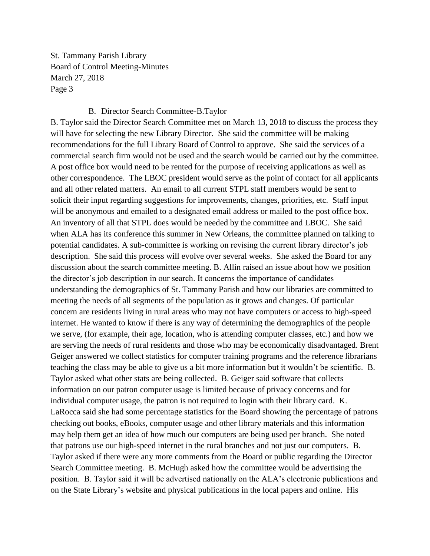#### B. Director Search Committee-B.Taylor

B. Taylor said the Director Search Committee met on March 13, 2018 to discuss the process they will have for selecting the new Library Director. She said the committee will be making recommendations for the full Library Board of Control to approve. She said the services of a commercial search firm would not be used and the search would be carried out by the committee. A post office box would need to be rented for the purpose of receiving applications as well as other correspondence. The LBOC president would serve as the point of contact for all applicants and all other related matters. An email to all current STPL staff members would be sent to solicit their input regarding suggestions for improvements, changes, priorities, etc. Staff input will be anonymous and emailed to a designated email address or mailed to the post office box. An inventory of all that STPL does would be needed by the committee and LBOC. She said when ALA has its conference this summer in New Orleans, the committee planned on talking to potential candidates. A sub-committee is working on revising the current library director's job description. She said this process will evolve over several weeks. She asked the Board for any discussion about the search committee meeting. B. Allin raised an issue about how we position the director's job description in our search. It concerns the importance of candidates understanding the demographics of St. Tammany Parish and how our libraries are committed to meeting the needs of all segments of the population as it grows and changes. Of particular concern are residents living in rural areas who may not have computers or access to high-speed internet. He wanted to know if there is any way of determining the demographics of the people we serve, (for example, their age, location, who is attending computer classes, etc.) and how we are serving the needs of rural residents and those who may be economically disadvantaged. Brent Geiger answered we collect statistics for computer training programs and the reference librarians teaching the class may be able to give us a bit more information but it wouldn't be scientific. B. Taylor asked what other stats are being collected. B. Geiger said software that collects information on our patron computer usage is limited because of privacy concerns and for individual computer usage, the patron is not required to login with their library card. K. LaRocca said she had some percentage statistics for the Board showing the percentage of patrons checking out books, eBooks, computer usage and other library materials and this information may help them get an idea of how much our computers are being used per branch. She noted that patrons use our high-speed internet in the rural branches and not just our computers. B. Taylor asked if there were any more comments from the Board or public regarding the Director Search Committee meeting. B. McHugh asked how the committee would be advertising the position. B. Taylor said it will be advertised nationally on the ALA's electronic publications and on the State Library's website and physical publications in the local papers and online. His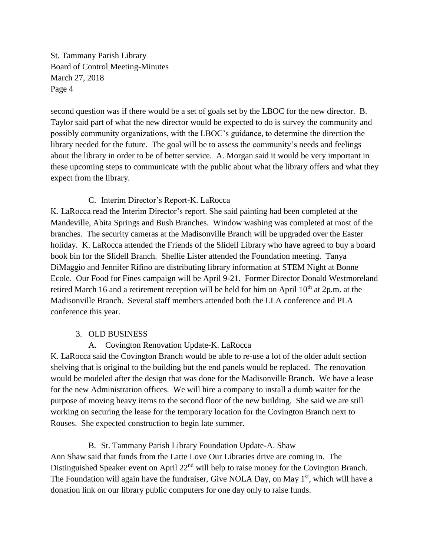second question was if there would be a set of goals set by the LBOC for the new director. B. Taylor said part of what the new director would be expected to do is survey the community and possibly community organizations, with the LBOC's guidance, to determine the direction the library needed for the future. The goal will be to assess the community's needs and feelings about the library in order to be of better service. A. Morgan said it would be very important in these upcoming steps to communicate with the public about what the library offers and what they expect from the library.

### C. Interim Director's Report-K. LaRocca

K. LaRocca read the Interim Director's report. She said painting had been completed at the Mandeville, Abita Springs and Bush Branches. Window washing was completed at most of the branches. The security cameras at the Madisonville Branch will be upgraded over the Easter holiday. K. LaRocca attended the Friends of the Slidell Library who have agreed to buy a board book bin for the Slidell Branch. Shellie Lister attended the Foundation meeting. Tanya DiMaggio and Jennifer Rifino are distributing library information at STEM Night at Bonne Ecole. Our Food for Fines campaign will be April 9-21. Former Director Donald Westmoreland retired March 16 and a retirement reception will be held for him on April  $10<sup>th</sup>$  at  $2p.m.$  at the Madisonville Branch. Several staff members attended both the LLA conference and PLA conference this year.

# 3. OLD BUSINESS

A. Covington Renovation Update-K. LaRocca

K. LaRocca said the Covington Branch would be able to re-use a lot of the older adult section shelving that is original to the building but the end panels would be replaced. The renovation would be modeled after the design that was done for the Madisonville Branch. We have a lease for the new Administration offices. We will hire a company to install a dumb waiter for the purpose of moving heavy items to the second floor of the new building. She said we are still working on securing the lease for the temporary location for the Covington Branch next to Rouses. She expected construction to begin late summer.

# B. St. Tammany Parish Library Foundation Update-A. Shaw

Ann Shaw said that funds from the Latte Love Our Libraries drive are coming in. The Distinguished Speaker event on April 22<sup>nd</sup> will help to raise money for the Covington Branch. The Foundation will again have the fundraiser, Give NOLA Day, on May 1<sup>st</sup>, which will have a donation link on our library public computers for one day only to raise funds.